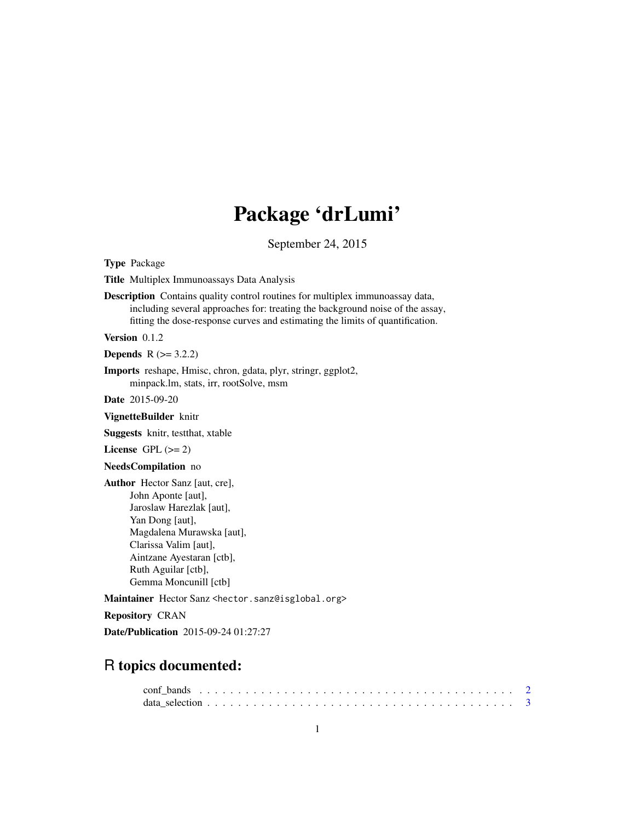# Package 'drLumi'

September 24, 2015

<span id="page-0-0"></span>Type Package

Title Multiplex Immunoassays Data Analysis

Description Contains quality control routines for multiplex immunoassay data, including several approaches for: treating the background noise of the assay, fitting the dose-response curves and estimating the limits of quantification.

Version 0.1.2

**Depends** R  $(>= 3.2.2)$ 

Imports reshape, Hmisc, chron, gdata, plyr, stringr, ggplot2, minpack.lm, stats, irr, rootSolve, msm

Date 2015-09-20

VignetteBuilder knitr

Suggests knitr, testthat, xtable

License GPL  $(>= 2)$ 

NeedsCompilation no

Author Hector Sanz [aut, cre], John Aponte [aut], Jaroslaw Harezlak [aut], Yan Dong [aut], Magdalena Murawska [aut], Clarissa Valim [aut], Aintzane Ayestaran [ctb], Ruth Aguilar [ctb], Gemma Moncunill [ctb]

Maintainer Hector Sanz <hector.sanz@isglobal.org>

Repository CRAN

Date/Publication 2015-09-24 01:27:27

# R topics documented: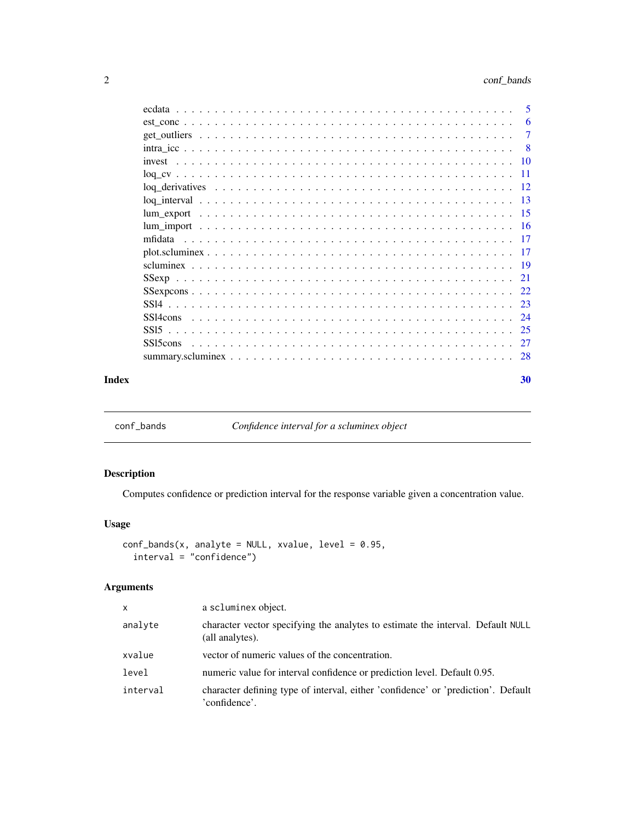<span id="page-1-0"></span>

|       |          | - 5 |
|-------|----------|-----|
|       |          | -6  |
|       |          | 7   |
|       |          | - 8 |
|       |          |     |
|       |          |     |
|       |          |     |
|       |          |     |
|       |          |     |
|       |          |     |
|       |          |     |
|       |          |     |
|       |          |     |
|       |          |     |
|       |          |     |
|       |          |     |
|       |          |     |
|       |          |     |
|       | SS15cons |     |
|       |          |     |
| Index |          | 30  |

conf\_bands *Confidence interval for a scluminex object*

# Description

Computes confidence or prediction interval for the response variable given a concentration value.

# Usage

```
conf\_bands(x, analyze = NULL, xvalue, level = 0.95,interval = "confidence")
```
# Arguments

| X        | a scluminex object.                                                                                |
|----------|----------------------------------------------------------------------------------------------------|
| analyte  | character vector specifying the analytes to estimate the interval. Default NULL<br>(all analytes). |
| xvalue   | vector of numeric values of the concentration.                                                     |
| level    | numeric value for interval confidence or prediction level. Default 0.95.                           |
| interval | character defining type of interval, either 'confidence' or 'prediction'. Default<br>'confidence'. |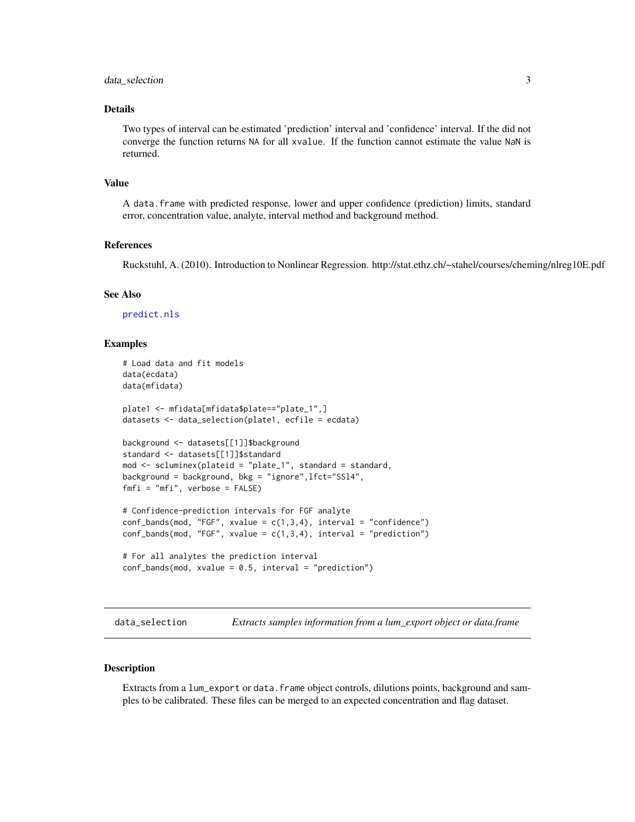#### <span id="page-2-0"></span>data\_selection 3

#### Details

Two types of interval can be estimated 'prediction' interval and 'confidence' interval. If the did not converge the function returns NA for all xvalue. If the function cannot estimate the value NaN is returned.

#### Value

A data.frame with predicted response, lower and upper confidence (prediction) limits, standard error, concentration value, analyte, interval method and background method.

# References

Ruckstuhl, A. (2010). Introduction to Nonlinear Regression. http://stat.ethz.ch/~stahel/courses/cheming/nlreg10E.pdf

#### See Also

[predict.nls](#page-0-0)

#### Examples

```
# Load data and fit models
data(ecdata)
data(mfidata)
plate1 <- mfidata[mfidata$plate=="plate_1",]
datasets <- data_selection(plate1, ecfile = ecdata)
background <- datasets[[1]]$background
standard <- datasets[[1]]$standard
mod <- scluminex(plateid = "plate_1", standard = standard,
background = background, bkg = "ignore",lfct="SSl4",
fmfi = "mfi", verbose = FALSE)
# Confidence-prediction intervals for FGF analyte
conf\_bands(mod, 'FGF', xvalue = c(1,3,4), interval = 'confidence")conf\_bands(mod, "FGF", xvalue = c(1,3,4), interval = "prediction")# For all analytes the prediction interval
conf\_bands(mod, xvalue = 0.5, interval = "prediction")
```
data\_selection *Extracts samples information from a lum\_export object or data.frame*

#### Description

Extracts from a lum\_export or data.frame object controls, dilutions points, background and samples to be calibrated. These files can be merged to an expected concentration and flag dataset.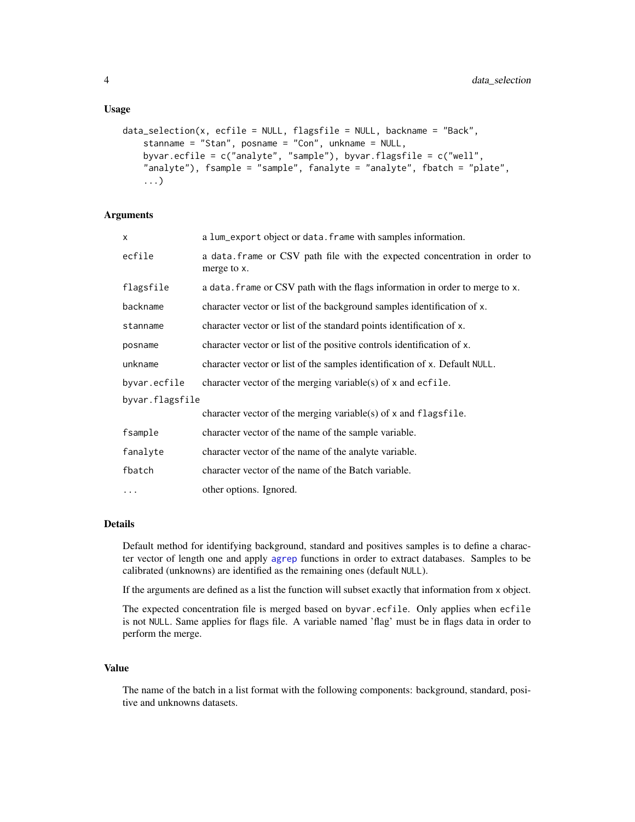```
data\_selection(x, ecfile = NULL, flagsfile = NULL, backname = "Back",stanname = "Stan", posname = "Con", unkname = NULL,
   byvar.ecfile = c("analyte", "sample"), byvar.flagsfile = c("well",
    "analyte"), fsample = "sample", fanalyte = "analyte", fbatch = "plate",
    ...)
```
## Arguments

| x               | a lum_export object or data. frame with samples information.                              |
|-----------------|-------------------------------------------------------------------------------------------|
| ecfile          | a data. frame or CSV path file with the expected concentration in order to<br>merge to x. |
| flagsfile       | a data. frame or CSV path with the flags information in order to merge to x.              |
| backname        | character vector or list of the background samples identification of x.                   |
| stanname        | character vector or list of the standard points identification of x.                      |
| posname         | character vector or list of the positive controls identification of x.                    |
| unkname         | character vector or list of the samples identification of x. Default NULL.                |
| byvar.ecfile    | character vector of the merging variable(s) of $x$ and ecfile.                            |
| byvar.flagsfile |                                                                                           |
|                 | character vector of the merging variable(s) of x and flagsfile.                           |
| fsample         | character vector of the name of the sample variable.                                      |
| fanalyte        | character vector of the name of the analyte variable.                                     |
| fbatch          | character vector of the name of the Batch variable.                                       |
| $\ddots$        | other options. Ignored.                                                                   |

# Details

Default method for identifying background, standard and positives samples is to define a character vector of length one and apply [agrep](#page-0-0) functions in order to extract databases. Samples to be calibrated (unknowns) are identified as the remaining ones (default NULL).

If the arguments are defined as a list the function will subset exactly that information from x object.

The expected concentration file is merged based on byvar.ecfile. Only applies when ecfile is not NULL. Same applies for flags file. A variable named 'flag' must be in flags data in order to perform the merge.

#### Value

The name of the batch in a list format with the following components: background, standard, positive and unknowns datasets.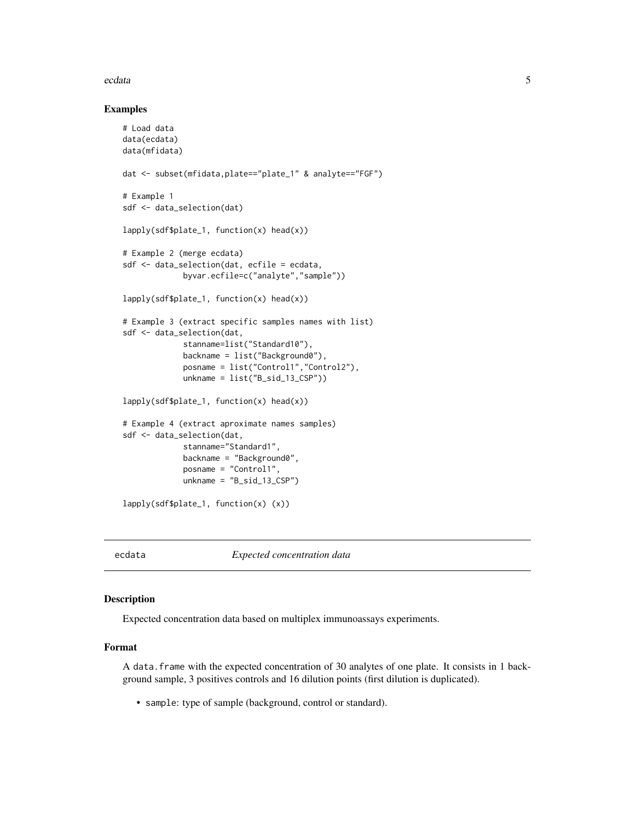#### <span id="page-4-0"></span>ecdata 5 and 5 and 5 and 5 and 5 and 5 and 5 and 5 and 5 and 5 and 5 and 5 and 5 and 5 and 5 and 5 and 5 and 5 and 5 and 5 and 5 and 5 and 5 and 5 and 5 and 5 and 5 and 5 and 5 and 5 and 5 and 5 and 5 and 5 and 5 and 5 and

#### Examples

```
# Load data
data(ecdata)
data(mfidata)
dat <- subset(mfidata,plate=="plate_1" & analyte=="FGF")
# Example 1
sdf <- data_selection(dat)
lapply(sdf$plate_1, function(x) head(x))
# Example 2 (merge ecdata)
sdf <- data_selection(dat, ecfile = ecdata,
             byvar.ecfile=c("analyte","sample"))
lapply(sdf$plate_1, function(x) head(x))
# Example 3 (extract specific samples names with list)
sdf <- data_selection(dat,
             stanname=list("Standard10"),
             backname = list("Background0"),
             posname = list("Control1","Control2"),
             unkname = list("B_sid_13_CSP"))
lapply(sdf$plate_1, function(x) head(x))
# Example 4 (extract aproximate names samples)
sdf <- data_selection(dat,
             stanname="Standard1",
             backname = "Background0",
             posname = "Control1",
             unkname = "B\_sid_13_CSP")lapply(sdf$plate_1, function(x) (x))
```
ecdata *Expected concentration data*

# Description

Expected concentration data based on multiplex immunoassays experiments.

#### Format

A data.frame with the expected concentration of 30 analytes of one plate. It consists in 1 background sample, 3 positives controls and 16 dilution points (first dilution is duplicated).

• sample: type of sample (background, control or standard).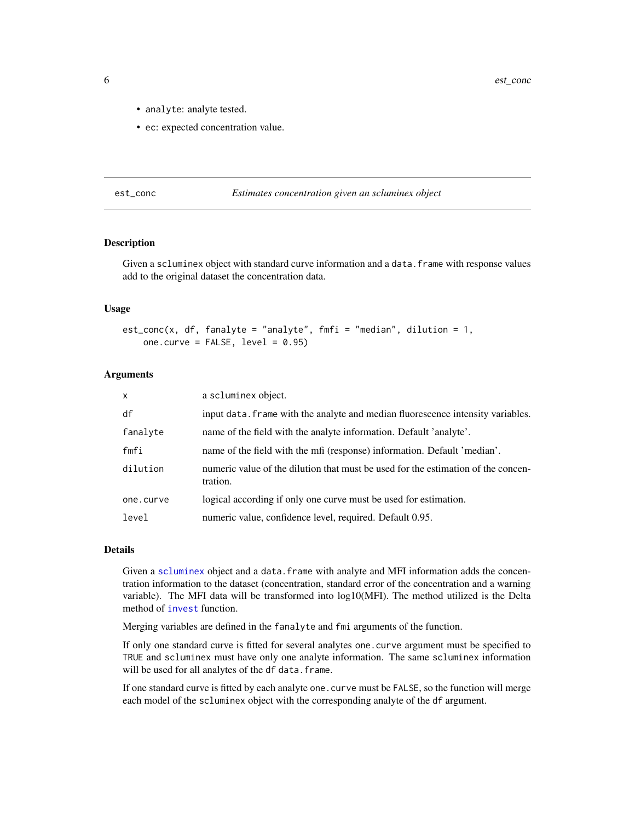- analyte: analyte tested.
- ec: expected concentration value.

# est\_conc *Estimates concentration given an scluminex object*

#### Description

Given a scluminex object with standard curve information and a data. frame with response values add to the original dataset the concentration data.

#### Usage

```
est\_conc(x, df, fanalyte = "analyte", fmfi = "median", dilution = 1,one.curve = FALSE, level = 0.95)
```
#### Arguments

| $\mathsf{x}$ | a scluminex object.                                                                           |
|--------------|-----------------------------------------------------------------------------------------------|
| df           | input data. frame with the analyte and median fluorescence intensity variables.               |
| fanalyte     | name of the field with the analyte information. Default 'analyte'.                            |
| fmfi         | name of the field with the mfi (response) information. Default 'median'.                      |
| dilution     | numeric value of the dilution that must be used for the estimation of the concen-<br>tration. |
| one.curve    | logical according if only one curve must be used for estimation.                              |
| level        | numeric value, confidence level, required. Default 0.95.                                      |

#### Details

Given a [scluminex](#page-18-1) object and a data.frame with analyte and MFI information adds the concentration information to the dataset (concentration, standard error of the concentration and a warning variable). The MFI data will be transformed into log10(MFI). The method utilized is the Delta method of [invest](#page-9-1) function.

Merging variables are defined in the fanalyte and fmi arguments of the function.

If only one standard curve is fitted for several analytes one.curve argument must be specified to TRUE and scluminex must have only one analyte information. The same scluminex information will be used for all analytes of the df data.frame.

If one standard curve is fitted by each analyte one.curve must be FALSE, so the function will merge each model of the scluminex object with the corresponding analyte of the df argument.

<span id="page-5-0"></span>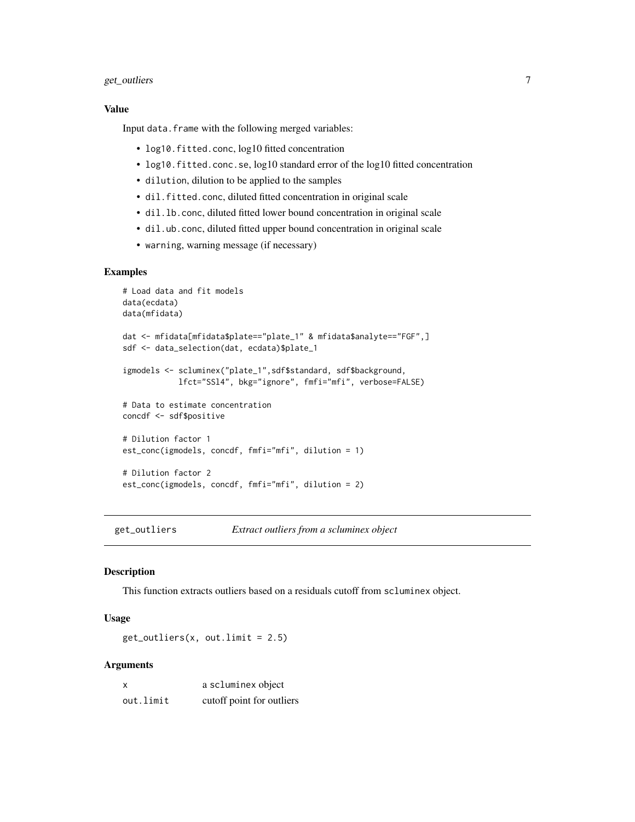# <span id="page-6-0"></span>get\_outliers 7

#### Value

Input data. frame with the following merged variables:

- log10.fitted.conc, log10 fitted concentration
- log10.fitted.conc.se, log10 standard error of the log10 fitted concentration
- dilution, dilution to be applied to the samples
- dil.fitted.conc, diluted fitted concentration in original scale
- dil.lb.conc, diluted fitted lower bound concentration in original scale
- dil.ub.conc, diluted fitted upper bound concentration in original scale
- warning, warning message (if necessary)

# Examples

```
# Load data and fit models
data(ecdata)
data(mfidata)
dat <- mfidata[mfidata$plate=="plate_1" & mfidata$analyte=="FGF",]
sdf <- data_selection(dat, ecdata)$plate_1
igmodels <- scluminex("plate_1",sdf$standard, sdf$background,
            lfct="SSl4", bkg="ignore", fmfi="mfi", verbose=FALSE)
# Data to estimate concentration
concdf <- sdf$positive
# Dilution factor 1
est_conc(igmodels, concdf, fmfi="mfi", dilution = 1)
# Dilution factor 2
est_conc(igmodels, concdf, fmfi="mfi", dilution = 2)
```
get\_outliers *Extract outliers from a scluminex object*

#### Description

This function extracts outliers based on a residuals cutoff from scluminex object.

#### Usage

 $get_outliers(x, out-limit = 2.5)$ 

#### Arguments

| X         | a scluminex object        |
|-----------|---------------------------|
| out.limit | cutoff point for outliers |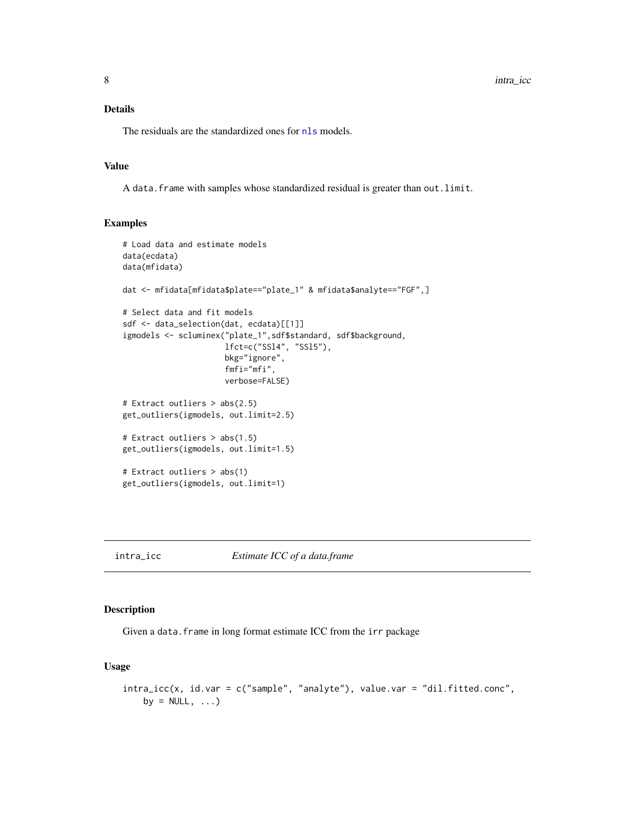# <span id="page-7-0"></span>Details

The residuals are the standardized ones for [nls](#page-0-0) models.

# Value

A data.frame with samples whose standardized residual is greater than out.limit.

# Examples

```
# Load data and estimate models
data(ecdata)
data(mfidata)
dat <- mfidata[mfidata$plate=="plate_1" & mfidata$analyte=="FGF",]
# Select data and fit models
sdf <- data_selection(dat, ecdata)[[1]]
igmodels <- scluminex("plate_1",sdf$standard, sdf$background,
                      lfct=c("SSl4", "SSl5"),
                      bkg="ignore",
                      fmfi="mfi",
                      verbose=FALSE)
# Extract outliers > abs(2.5)
get_outliers(igmodels, out.limit=2.5)
# Extract outliers > abs(1.5)
get_outliers(igmodels, out.limit=1.5)
# Extract outliers > abs(1)
get_outliers(igmodels, out.limit=1)
```
# intra\_icc *Estimate ICC of a data.frame*

#### Description

Given a data.frame in long format estimate ICC from the irr package

# Usage

```
intra_icc(x, id.var = c("sample", "analyte"), value.var = "dil.fitted.conc",
   by = NULL, \ldots)
```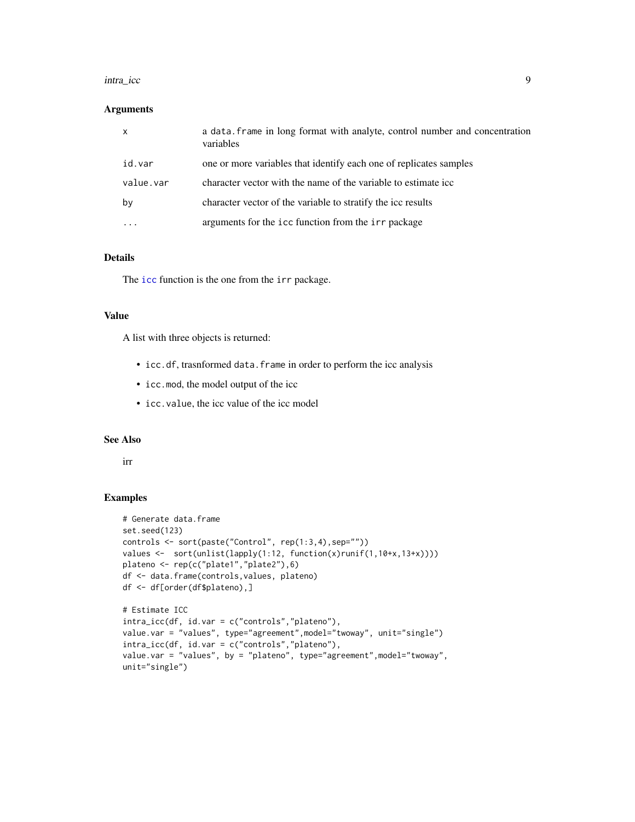#### <span id="page-8-0"></span>intra\_icc 9

# Arguments

| $\mathsf{x}$ | a data. Frame in long format with analyte, control number and concentration<br>variables |
|--------------|------------------------------------------------------------------------------------------|
| id.var       | one or more variables that identify each one of replicates samples                       |
| value.var    | character vector with the name of the variable to estimate icc                           |
| by           | character vector of the variable to stratify the icc results                             |
|              | arguments for the icc function from the irr package                                      |

# Details

The [icc](#page-0-0) function is the one from the irr package.

# Value

A list with three objects is returned:

- icc.df, trasnformed data.frame in order to perform the icc analysis
- icc.mod, the model output of the icc
- icc.value, the icc value of the icc model

# See Also

irr

#### Examples

unit="single")

```
# Generate data.frame
set.seed(123)
controls <- sort(paste("Control", rep(1:3,4),sep=""))
values <- sort(unlist(lapply(1:12, function(x)runif(1,10+x,13+x))))
plateno <- rep(c("plate1","plate2"),6)
df <- data.frame(controls,values, plateno)
df <- df[order(df$plateno),]
# Estimate ICC
intra_icc(df, id.var = c("controls","plateno"),
value.var = "values", type="agreement",model="twoway", unit="single")
intra_icc(df, id.var = c("controls","plateno"),
value.var = "values", by = "plateno", type="agreement",model="twoway",
```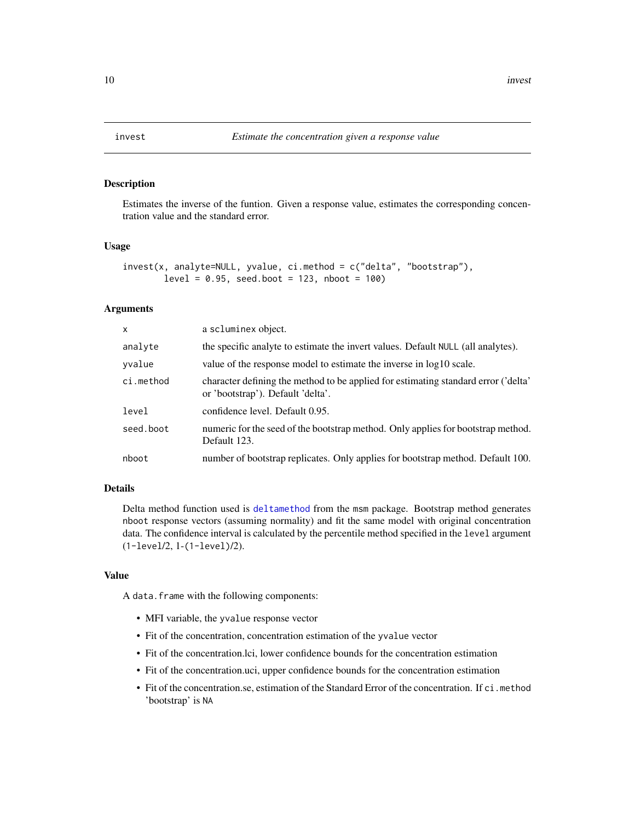<span id="page-9-1"></span><span id="page-9-0"></span>

# Description

Estimates the inverse of the funtion. Given a response value, estimates the corresponding concentration value and the standard error.

#### Usage

```
invest(x, analyte=NULL, yvalue, ci.method = c("delta", "bootstrap"),
       level = 0.95, seed.boot = 123, nboot = 100)
```
#### Arguments

| x         | a scluminex object.                                                                                                     |
|-----------|-------------------------------------------------------------------------------------------------------------------------|
| analyte   | the specific analyte to estimate the invert values. Default NULL (all analytes).                                        |
| yvalue    | value of the response model to estimate the inverse in $log 10$ scale.                                                  |
| ci.method | character defining the method to be applied for estimating standard error ('delta'<br>or 'bootstrap'). Default 'delta'. |
| level     | confidence level. Default 0.95.                                                                                         |
| seed.boot | numeric for the seed of the bootstrap method. Only applies for bootstrap method.<br>Default 123.                        |
| nboot     | number of bootstrap replicates. Only applies for bootstrap method. Default 100.                                         |
|           |                                                                                                                         |

# Details

Delta method function used is [deltamethod](#page-0-0) from the msm package. Bootstrap method generates nboot response vectors (assuming normality) and fit the same model with original concentration data. The confidence interval is calculated by the percentile method specified in the level argument (1-level/2, 1-(1-level)/2).

## Value

A data.frame with the following components:

- MFI variable, the yvalue response vector
- Fit of the concentration, concentration estimation of the yvalue vector
- Fit of the concentration.lci, lower confidence bounds for the concentration estimation
- Fit of the concentration.uci, upper confidence bounds for the concentration estimation
- Fit of the concentration.se, estimation of the Standard Error of the concentration. If ci.method 'bootstrap' is NA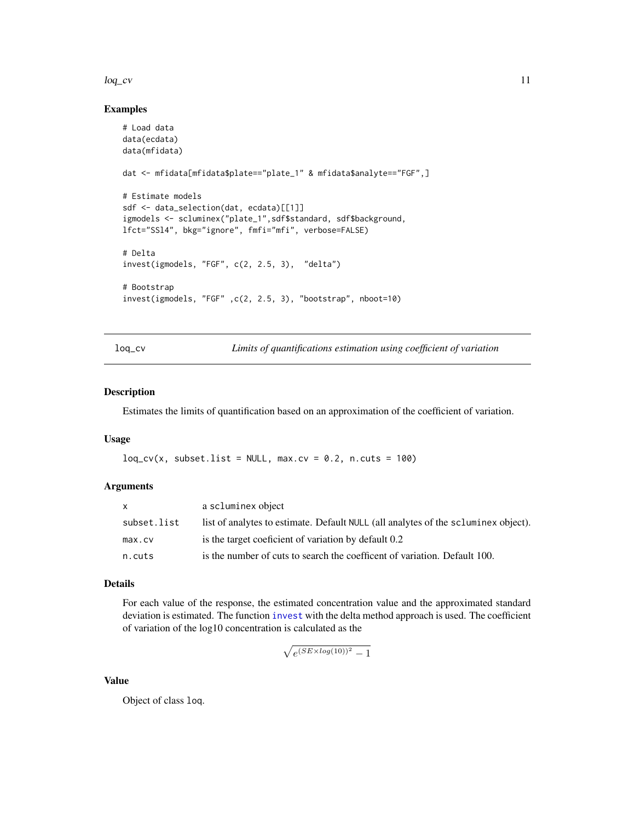#### <span id="page-10-0"></span> $log\_cv$  11

#### Examples

```
# Load data
data(ecdata)
data(mfidata)
dat <- mfidata[mfidata$plate=="plate_1" & mfidata$analyte=="FGF",]
# Estimate models
sdf <- data_selection(dat, ecdata)[[1]]
igmodels <- scluminex("plate_1",sdf$standard, sdf$background,
lfct="SSl4", bkg="ignore", fmfi="mfi", verbose=FALSE)
# Delta
invest(igmodels, "FGF", c(2, 2.5, 3), "delta")
# Bootstrap
invest(igmodels, "FGF" ,c(2, 2.5, 3), "bootstrap", nboot=10)
```
loq\_cv *Limits of quantifications estimation using coefficient of variation*

# Description

Estimates the limits of quantification based on an approximation of the coefficient of variation.

# Usage

```
log_c v(x, subset-list = NULL, max.cv = 0.2, n.cuts = 100)
```
#### Arguments

| $\mathsf{x}$ | a scluminex object                                                                 |
|--------------|------------------------------------------------------------------------------------|
| subset.list  | list of analytes to estimate. Default NULL (all analytes of the scluminex object). |
| max.cv       | is the target coeficient of variation by default 0.2                               |
| n.cuts       | is the number of cuts to search the coefficent of variation. Default 100.          |

#### Details

For each value of the response, the estimated concentration value and the approximated standard deviation is estimated. The function [invest](#page-9-1) with the delta method approach is used. The coefficient of variation of the log10 concentration is calculated as the

$$
\sqrt{e^{(SE \times log(10))^2} - 1}
$$

# Value

Object of class loq.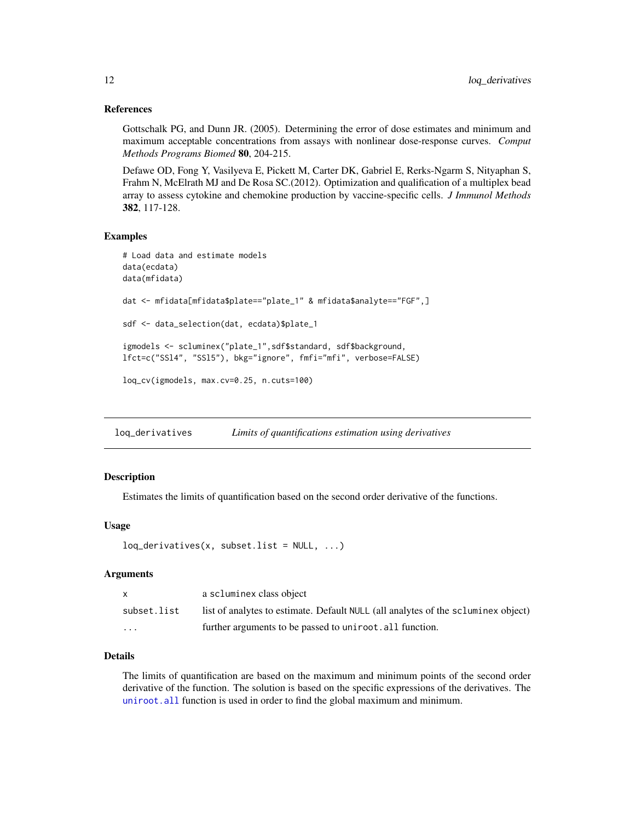#### References

Gottschalk PG, and Dunn JR. (2005). Determining the error of dose estimates and minimum and maximum acceptable concentrations from assays with nonlinear dose-response curves. *Comput Methods Programs Biomed* 80, 204-215.

Defawe OD, Fong Y, Vasilyeva E, Pickett M, Carter DK, Gabriel E, Rerks-Ngarm S, Nityaphan S, Frahm N, McElrath MJ and De Rosa SC.(2012). Optimization and qualification of a multiplex bead array to assess cytokine and chemokine production by vaccine-specific cells. *J Immunol Methods* 382, 117-128.

#### Examples

```
# Load data and estimate models
data(ecdata)
data(mfidata)
dat <- mfidata[mfidata$plate=="plate_1" & mfidata$analyte=="FGF",]
sdf <- data_selection(dat, ecdata)$plate_1
igmodels <- scluminex("plate_1",sdf$standard, sdf$background,
lfct=c("SSl4", "SSl5"), bkg="ignore", fmfi="mfi", verbose=FALSE)
loq_cv(igmodels, max.cv=0.25, n.cuts=100)
```
loq\_derivatives *Limits of quantifications estimation using derivatives*

# **Description**

Estimates the limits of quantification based on the second order derivative of the functions.

#### Usage

```
loq_{\text{}d}erivatives(x, subset.list = NULL, ...)
```
#### Arguments

| $\mathsf{X}$ | a scluminex class object                                                          |
|--------------|-----------------------------------------------------------------------------------|
| subset.list  | list of analytes to estimate. Default NULL (all analytes of the scluminex object) |
| $\cdots$     | further arguments to be passed to uniroot. all function.                          |

# Details

The limits of quantification are based on the maximum and minimum points of the second order derivative of the function. The solution is based on the specific expressions of the derivatives. The [uniroot.all](#page-0-0) function is used in order to find the global maximum and minimum.

<span id="page-11-0"></span>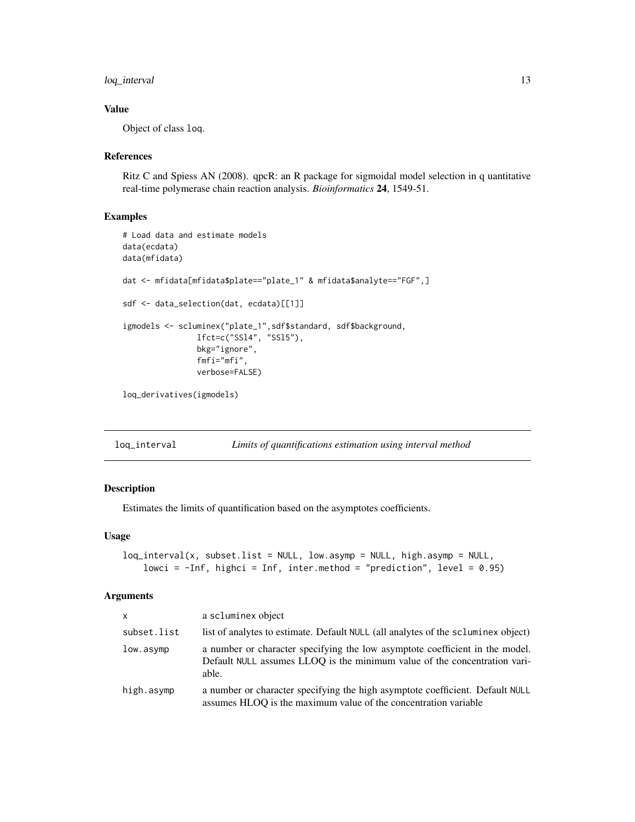<span id="page-12-0"></span>loq\_interval 13

# Value

Object of class loq.

#### References

Ritz C and Spiess AN (2008). qpcR: an R package for sigmoidal model selection in q uantitative real-time polymerase chain reaction analysis. *Bioinformatics* 24, 1549-51.

# Examples

```
# Load data and estimate models
data(ecdata)
data(mfidata)
dat <- mfidata[mfidata$plate=="plate_1" & mfidata$analyte=="FGF",]
sdf <- data_selection(dat, ecdata)[[1]]
igmodels <- scluminex("plate_1",sdf$standard, sdf$background,
                lfct=c("SSl4", "SSl5"),
                bkg="ignore",
                fmfi="mfi",
                verbose=FALSE)
```

```
loq_derivatives(igmodels)
```
loq\_interval *Limits of quantifications estimation using interval method*

# Description

Estimates the limits of quantification based on the asymptotes coefficients.

# Usage

```
log\_interval(x, subset-list = NULL, low.argv = NULL, high.argv = NULL,lowci = -Inf, highci = Inf, inter.method = "prediction", level = 0.95)
```
#### Arguments

| $\mathsf{x}$ | a scluminex object                                                                                                                                                 |
|--------------|--------------------------------------------------------------------------------------------------------------------------------------------------------------------|
| subset.list  | list of analytes to estimate. Default NULL (all analytes of the scluminex object)                                                                                  |
| low.asymp    | a number or character specifying the low asymptote coefficient in the model.<br>Default NULL assumes LLOQ is the minimum value of the concentration vari-<br>able. |
| high.asymp   | a number or character specifying the high asymptote coefficient. Default NULL<br>assumes HLOQ is the maximum value of the concentration variable                   |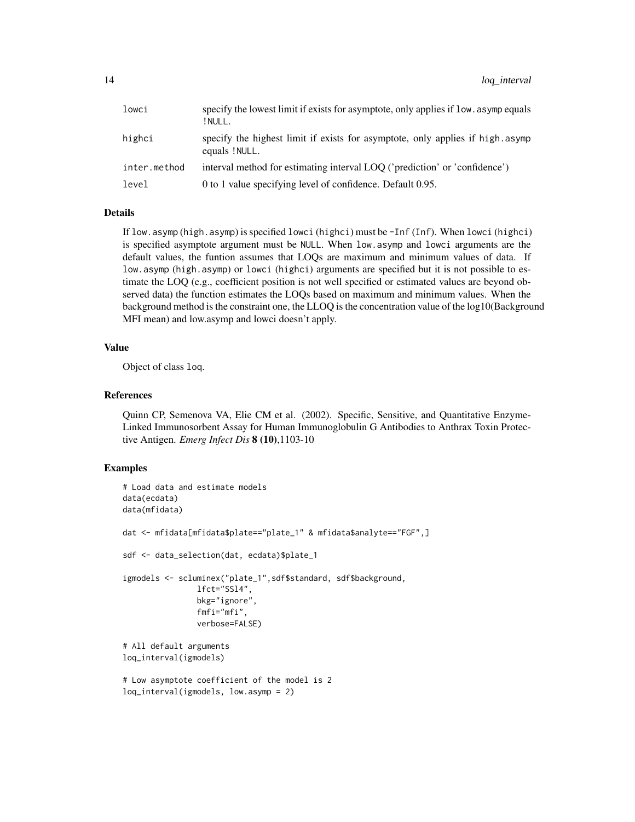| lowci        | specify the lowest limit if exists for asymptote, only applies if low, asymp equals<br>! NULL.  |
|--------------|-------------------------------------------------------------------------------------------------|
| highci       | specify the highest limit if exists for asymptote, only applies if high.asymp<br>equals ! NULL. |
| inter.method | interval method for estimating interval LOO ('prediction' or 'confidence')                      |
| level        | 0 to 1 value specifying level of confidence. Default 0.95.                                      |

# Details

If low.asymp (high.asymp) is specified lowci (highci) must be -Inf (Inf). When lowci (highci) is specified asymptote argument must be NULL. When low.asymp and lowci arguments are the default values, the funtion assumes that LOQs are maximum and minimum values of data. If low.asymp (high.asymp) or lowci (highci) arguments are specified but it is not possible to estimate the LOQ (e.g., coefficient position is not well specified or estimated values are beyond observed data) the function estimates the LOQs based on maximum and minimum values. When the background method is the constraint one, the LLOQ is the concentration value of the log10(Background MFI mean) and low.asymp and lowci doesn't apply.

#### Value

Object of class loq.

# References

Quinn CP, Semenova VA, Elie CM et al. (2002). Specific, Sensitive, and Quantitative Enzyme-Linked Immunosorbent Assay for Human Immunoglobulin G Antibodies to Anthrax Toxin Protective Antigen. *Emerg Infect Dis* 8 (10),1103-10

# Examples

```
# Load data and estimate models
data(ecdata)
data(mfidata)
dat <- mfidata[mfidata$plate=="plate_1" & mfidata$analyte=="FGF",]
sdf <- data_selection(dat, ecdata)$plate_1
igmodels <- scluminex("plate_1",sdf$standard, sdf$background,
                lfct="SSl4",
                bkg="ignore",
                fmfi="mfi",
                verbose=FALSE)
# All default arguments
loq_interval(igmodels)
# Low asymptote coefficient of the model is 2
```
loq\_interval(igmodels, low.asymp = 2)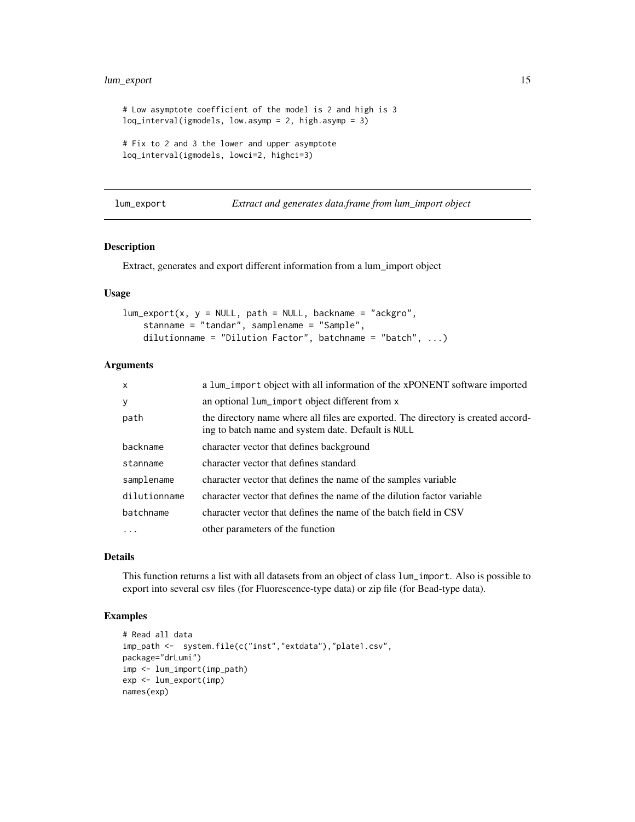# <span id="page-14-0"></span>lum\_export 15

```
# Low asymptote coefficient of the model is 2 and high is 3
loq_interval(igmodels, low.asymp = 2, high.asymp = 3)
# Fix to 2 and 3 the lower and upper asymptote
loq_interval(igmodels, lowci=2, highci=3)
```
<span id="page-14-1"></span>lum\_export *Extract and generates data.frame from lum\_import object*

# Description

Extract, generates and export different information from a lum\_import object

#### Usage

```
lum\_export(x, y = NULL, path = NULL, backname = "ackgro",stanname = "tandar", samplename = "Sample",
   dilutionname = "Dilution Factor", batchname = "batch", ...)
```
# Arguments

| $\mathsf{x}$ | a lum_import object with all information of the xPONENT software imported                                                               |
|--------------|-----------------------------------------------------------------------------------------------------------------------------------------|
| y            | an optional lum_import object different from x                                                                                          |
| path         | the directory name where all files are exported. The directory is created accord-<br>ing to batch name and system date. Default is NULL |
| backname     | character vector that defines background                                                                                                |
| stanname     | character vector that defines standard                                                                                                  |
| samplename   | character vector that defines the name of the samples variable                                                                          |
| dilutionname | character vector that defines the name of the dilution factor variable                                                                  |
| batchname    | character vector that defines the name of the batch field in CSV                                                                        |
| .            | other parameters of the function                                                                                                        |

# Details

This function returns a list with all datasets from an object of class lum\_import. Also is possible to export into several csv files (for Fluorescence-type data) or zip file (for Bead-type data).

```
# Read all data
imp_path <- system.file(c("inst","extdata"),"plate1.csv",
package="drLumi")
imp <- lum_import(imp_path)
exp <- lum_export(imp)
names(exp)
```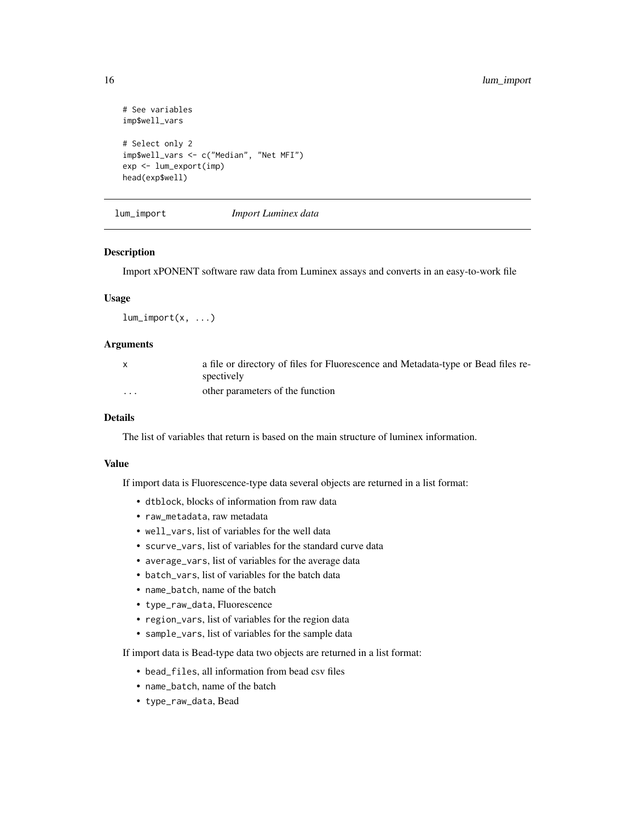```
# See variables
imp$well_vars
# Select only 2
imp$well_vars <- c("Median", "Net MFI")
exp <- lum_export(imp)
head(exp$well)
```
lum\_import *Import Luminex data*

#### Description

Import xPONENT software raw data from Luminex assays and converts in an easy-to-work file

#### Usage

 $lum_iimport(x, \ldots)$ 

#### Arguments

|          | a file or directory of files for Fluorescence and Metadata-type or Bead files re- |
|----------|-----------------------------------------------------------------------------------|
|          | spectively                                                                        |
| $\cdots$ | other parameters of the function                                                  |

# Details

The list of variables that return is based on the main structure of luminex information.

# Value

If import data is Fluorescence-type data several objects are returned in a list format:

- dtblock, blocks of information from raw data
- raw\_metadata, raw metadata
- well\_vars, list of variables for the well data
- scurve\_vars, list of variables for the standard curve data
- average\_vars, list of variables for the average data
- batch\_vars, list of variables for the batch data
- name\_batch, name of the batch
- type\_raw\_data, Fluorescence
- region\_vars, list of variables for the region data
- sample\_vars, list of variables for the sample data

If import data is Bead-type data two objects are returned in a list format:

- bead\_files, all information from bead csv files
- name\_batch, name of the batch
- type\_raw\_data, Bead

<span id="page-15-0"></span>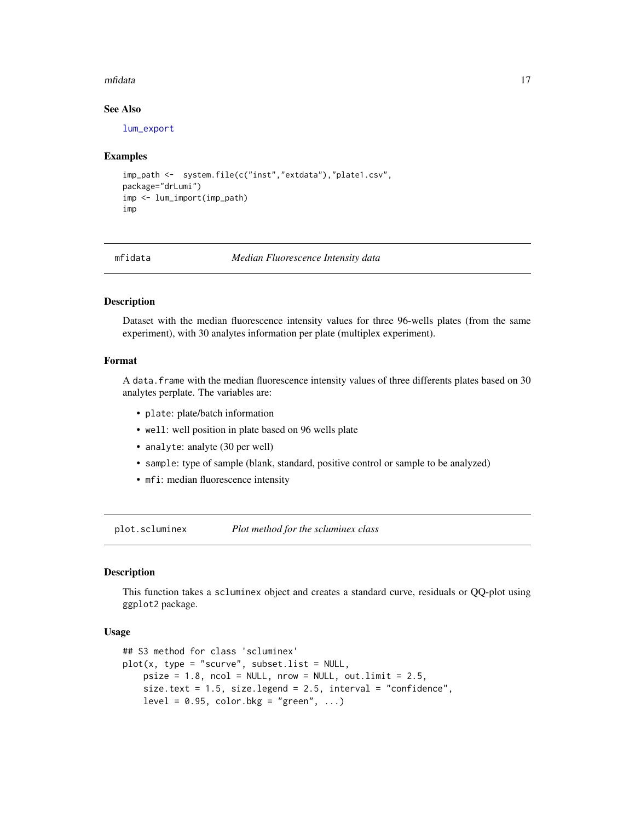#### <span id="page-16-0"></span>mfidata **17**

# See Also

[lum\\_export](#page-14-1)

#### Examples

```
imp_path <- system.file(c("inst","extdata"),"plate1.csv",
package="drLumi")
imp <- lum_import(imp_path)
imp
```
#### mfidata *Median Fluorescence Intensity data*

# Description

Dataset with the median fluorescence intensity values for three 96-wells plates (from the same experiment), with 30 analytes information per plate (multiplex experiment).

# Format

A data.frame with the median fluorescence intensity values of three differents plates based on 30 analytes perplate. The variables are:

- plate: plate/batch information
- well: well position in plate based on 96 wells plate
- analyte: analyte (30 per well)
- sample: type of sample (blank, standard, positive control or sample to be analyzed)
- mfi: median fluorescence intensity

plot.scluminex *Plot method for the scluminex class*

#### Description

This function takes a scluminex object and creates a standard curve, residuals or QQ-plot using ggplot2 package.

#### Usage

```
## S3 method for class 'scluminex'
plot(x, type = "scurve", subset-list = NULL,psize = 1.8, ncol = NULL, nrow = NULL, out-limit = 2.5,
   size.text = 1.5, size.legend = 2.5, interval = "confidence",
   level = 0.95, color.bkg = "green", ...)
```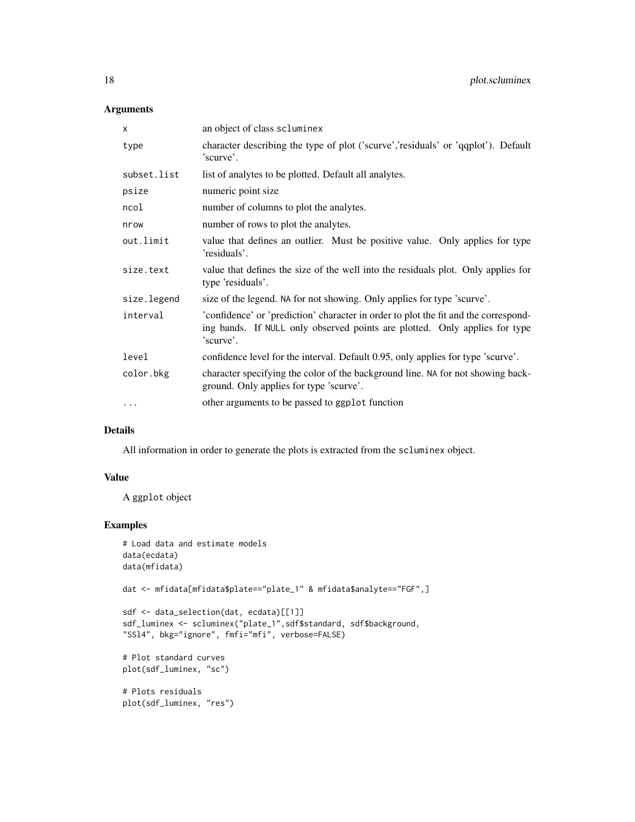# Arguments

| an object of class scluminex                                                                                                                                                   |  |
|--------------------------------------------------------------------------------------------------------------------------------------------------------------------------------|--|
| character describing the type of plot ('scurve','residuals' or 'qqplot'). Default<br>'scurve'.                                                                                 |  |
| list of analytes to be plotted. Default all analytes.                                                                                                                          |  |
| numeric point size                                                                                                                                                             |  |
| number of columns to plot the analytes.                                                                                                                                        |  |
| number of rows to plot the analytes.                                                                                                                                           |  |
| value that defines an outlier. Must be positive value. Only applies for type<br>'residuals'.                                                                                   |  |
| value that defines the size of the well into the residuals plot. Only applies for<br>type 'residuals'.                                                                         |  |
| size of the legend. NA for not showing. Only applies for type 'scurve'.                                                                                                        |  |
| 'confidence' or 'prediction' character in order to plot the fit and the correspond-<br>ing bands. If NULL only observed points are plotted. Only applies for type<br>'scurve'. |  |
| confidence level for the interval. Default 0.95, only applies for type 'scurve'.                                                                                               |  |
| character specifying the color of the background line. NA for not showing back-<br>ground. Only applies for type 'scurve'.                                                     |  |
| other arguments to be passed to ggplot function                                                                                                                                |  |
|                                                                                                                                                                                |  |

# Details

All information in order to generate the plots is extracted from the scluminex object.

# Value

A ggplot object

```
# Load data and estimate models
data(ecdata)
data(mfidata)
dat <- mfidata[mfidata$plate=="plate_1" & mfidata$analyte=="FGF",]
sdf <- data_selection(dat, ecdata)[[1]]
sdf_luminex <- scluminex("plate_1",sdf$standard, sdf$background,
"SSl4", bkg="ignore", fmfi="mfi", verbose=FALSE)
# Plot standard curves
plot(sdf_luminex, "sc")
# Plots residuals
plot(sdf_luminex, "res")
```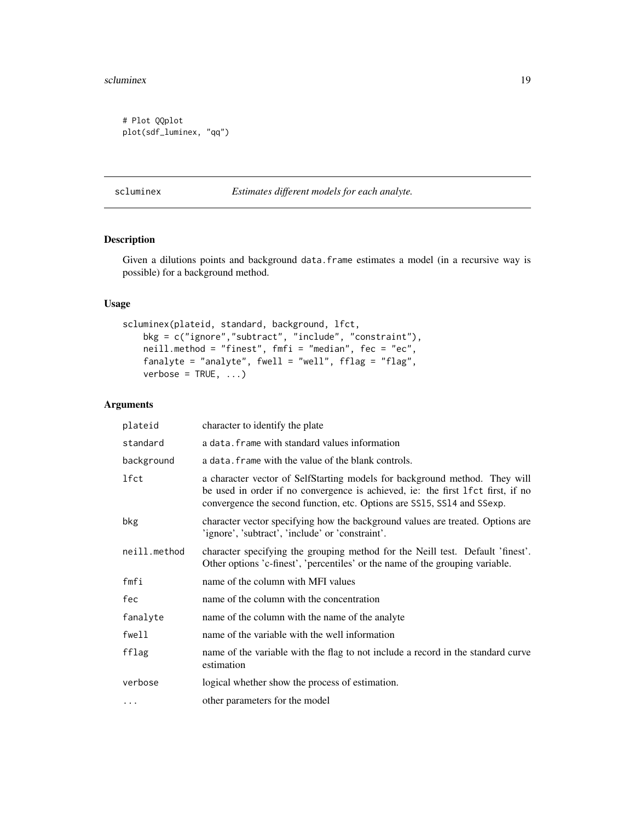```
# Plot QQplot
plot(sdf_luminex, "qq")
```
<span id="page-18-1"></span>scluminex *Estimates different models for each analyte.*

# Description

Given a dilutions points and background data.frame estimates a model (in a recursive way is possible) for a background method.

# Usage

```
scluminex(plateid, standard, background, lfct,
   bkg = c("ignore","subtract", "include", "constraint"),
   neill.method = "finest", f(mf) = "median", f{ec} = "ec",
   fanalyte = "analyte", fwell = "well", fflag = "flag",
   verbose = TRUE, ...)
```
# Arguments

| plateid      | character to identify the plate                                                                                                                                                                                                          |  |
|--------------|------------------------------------------------------------------------------------------------------------------------------------------------------------------------------------------------------------------------------------------|--|
| standard     | a data. frame with standard values information                                                                                                                                                                                           |  |
| background   | a data. frame with the value of the blank controls.                                                                                                                                                                                      |  |
| lfct         | a character vector of SelfStarting models for background method. They will<br>be used in order if no convergence is achieved, ie: the first 1fct first, if no<br>convergence the second function, etc. Options are SS15, SS14 and SSexp. |  |
| bkg          | character vector specifying how the background values are treated. Options are<br>'ignore', 'subtract', 'include' or 'constraint'.                                                                                                       |  |
| neill.method | character specifying the grouping method for the Neill test. Default 'finest'.<br>Other options 'c-finest', 'percentiles' or the name of the grouping variable.                                                                          |  |
| fmfi         | name of the column with MFI values                                                                                                                                                                                                       |  |
| fec          | name of the column with the concentration                                                                                                                                                                                                |  |
| fanalyte     | name of the column with the name of the analyte                                                                                                                                                                                          |  |
| fwell        | name of the variable with the well information                                                                                                                                                                                           |  |
| fflag        | name of the variable with the flag to not include a record in the standard curve<br>estimation                                                                                                                                           |  |
| verbose      | logical whether show the process of estimation.                                                                                                                                                                                          |  |
| $\cdots$     | other parameters for the model                                                                                                                                                                                                           |  |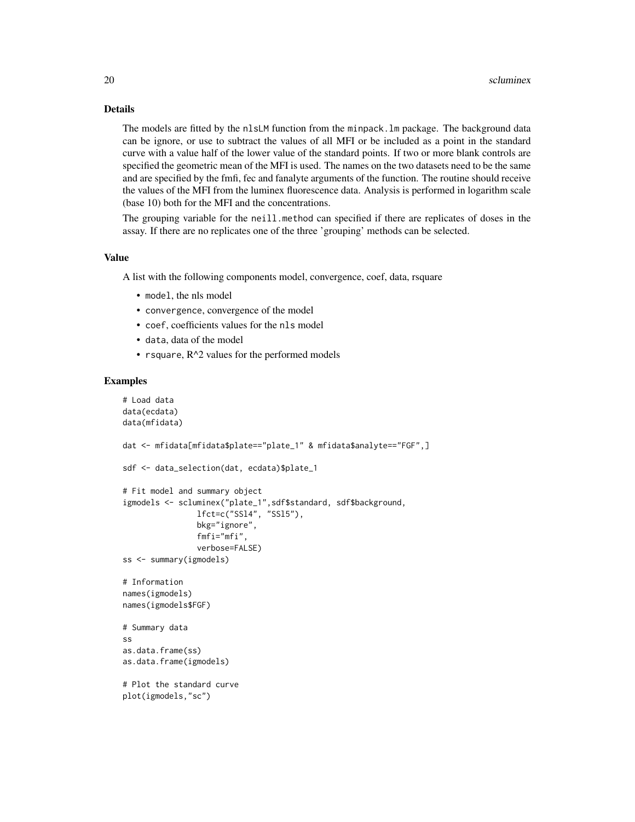# Details

The models are fitted by the nlsLM function from the minpack.lm package. The background data can be ignore, or use to subtract the values of all MFI or be included as a point in the standard curve with a value half of the lower value of the standard points. If two or more blank controls are specified the geometric mean of the MFI is used. The names on the two datasets need to be the same and are specified by the fmfi, fec and fanalyte arguments of the function. The routine should receive the values of the MFI from the luminex fluorescence data. Analysis is performed in logarithm scale (base 10) both for the MFI and the concentrations.

The grouping variable for the neill.method can specified if there are replicates of doses in the assay. If there are no replicates one of the three 'grouping' methods can be selected.

#### Value

A list with the following components model, convergence, coef, data, rsquare

- model, the nls model
- convergence, convergence of the model
- coef, coefficients values for the nls model
- data, data of the model
- rsquare,  $R^2$  values for the performed models

```
# Load data
data(ecdata)
data(mfidata)
dat <- mfidata[mfidata$plate=="plate_1" & mfidata$analyte=="FGF",]
sdf <- data_selection(dat, ecdata)$plate_1
# Fit model and summary object
igmodels <- scluminex("plate_1",sdf$standard, sdf$background,
                lfct=c("SSl4", "SSl5"),
                bkg="ignore",
                fmfi="mfi",
                verbose=FALSE)
ss <- summary(igmodels)
# Information
names(igmodels)
names(igmodels$FGF)
# Summary data
ss
as.data.frame(ss)
as.data.frame(igmodels)
# Plot the standard curve
plot(igmodels,"sc")
```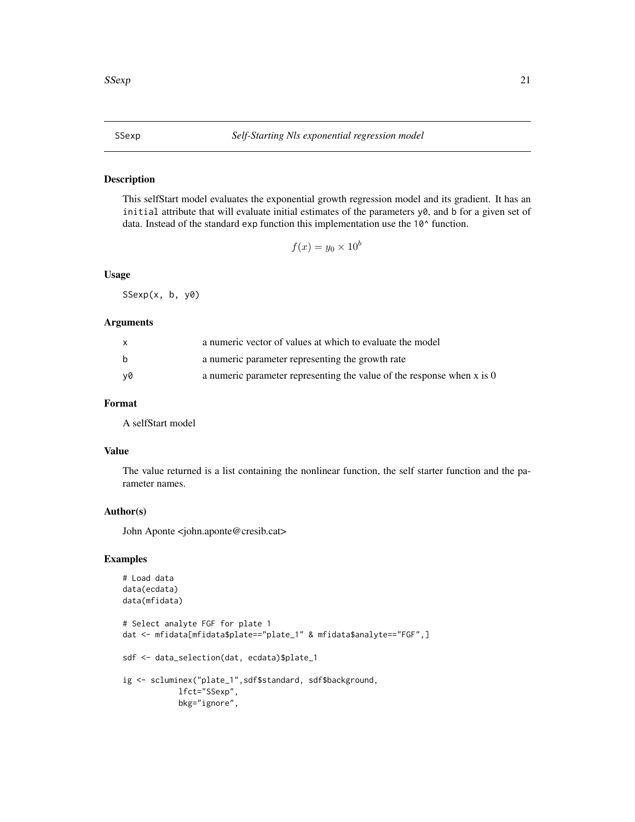#### Description

This selfStart model evaluates the exponential growth regression model and its gradient. It has an initial attribute that will evaluate initial estimates of the parameters yo, and b for a given set of data. Instead of the standard exp function this implementation use the 10^ function.

 $f(x) = y_0 \times 10^b$ 

# Usage

SSexp(x, b, y0)

#### Arguments

|    | a numeric vector of values at which to evaluate the model              |
|----|------------------------------------------------------------------------|
| b  | a numeric parameter representing the growth rate                       |
| v0 | a numeric parameter representing the value of the response when x is 0 |

# Format

A selfStart model

# Value

The value returned is a list containing the nonlinear function, the self starter function and the parameter names.

#### Author(s)

John Aponte <john.aponte@cresib.cat>

```
# Load data
data(ecdata)
data(mfidata)
# Select analyte FGF for plate 1
dat <- mfidata[mfidata$plate=="plate_1" & mfidata$analyte=="FGF",]
sdf <- data_selection(dat, ecdata)$plate_1
ig <- scluminex("plate_1",sdf$standard, sdf$background,
            lfct="SSexp",
            bkg="ignore",
```
<span id="page-20-0"></span>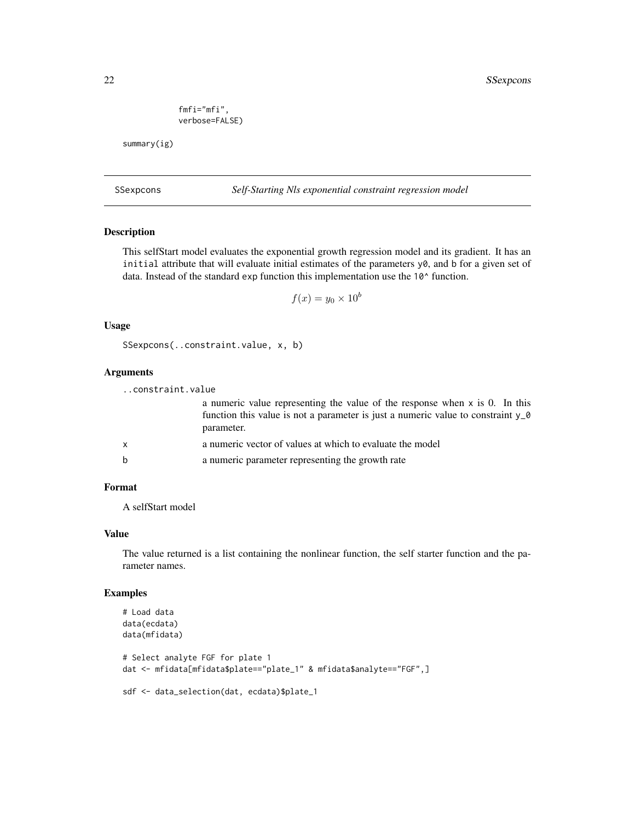```
fmfi="mfi",
verbose=FALSE)
```
<span id="page-21-0"></span>summary(ig)

SSexpcons *Self-Starting Nls exponential constraint regression model*

#### Description

This selfStart model evaluates the exponential growth regression model and its gradient. It has an initial attribute that will evaluate initial estimates of the parameters y0, and b for a given set of data. Instead of the standard exp function this implementation use the 10^ function.

$$
f(x) = y_0 \times 10^b
$$

# Usage

SSexpcons(..constraint.value, x, b)

#### Arguments

| constraint.value |                                                                                                                                                                                   |  |
|------------------|-----------------------------------------------------------------------------------------------------------------------------------------------------------------------------------|--|
|                  | a numeric value representing the value of the response when $x$ is 0. In this<br>function this value is not a parameter is just a numeric value to constraint $y_0$<br>parameter. |  |
| $\mathsf{x}$     | a numeric vector of values at which to evaluate the model                                                                                                                         |  |
| b                | a numeric parameter representing the growth rate                                                                                                                                  |  |

# Format

A selfStart model

#### Value

The value returned is a list containing the nonlinear function, the self starter function and the parameter names.

```
# Load data
data(ecdata)
data(mfidata)
# Select analyte FGF for plate 1
dat <- mfidata[mfidata$plate=="plate_1" & mfidata$analyte=="FGF",]
sdf <- data_selection(dat, ecdata)$plate_1
```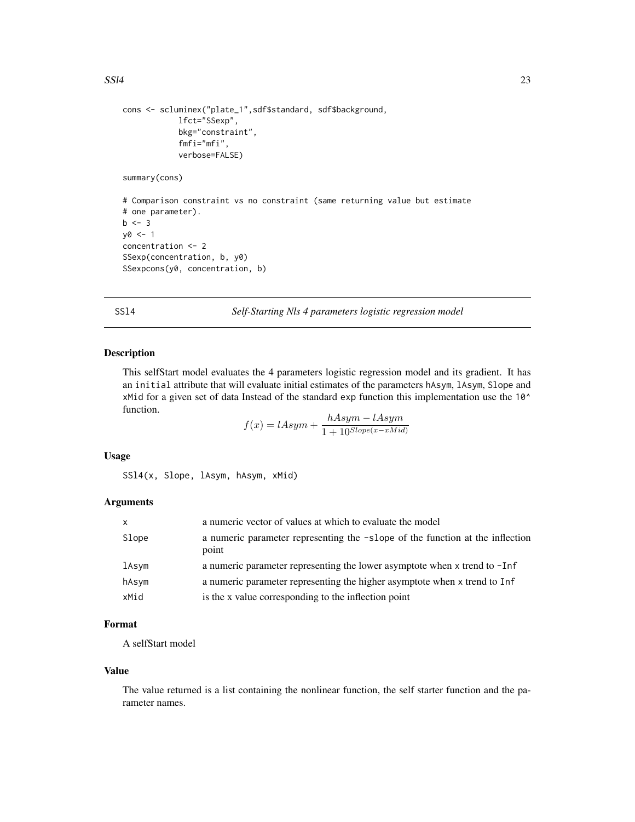```
cons <- scluminex("plate_1",sdf$standard, sdf$background,
            lfct="SSexp",
            bkg="constraint",
            fmfi="mfi",
            verbose=FALSE)
summary(cons)
# Comparison constraint vs no constraint (same returning value but estimate
# one parameter).
b \le -3y0 <- 1
concentration <- 2
SSexp(concentration, b, y0)
SSexpcons(y0, concentration, b)
```
SSl4 *Self-Starting Nls 4 parameters logistic regression model*

# Description

This selfStart model evaluates the 4 parameters logistic regression model and its gradient. It has an initial attribute that will evaluate initial estimates of the parameters hAsym, lAsym, Slope and xMid for a given set of data Instead of the standard exp function this implementation use the  $10<sup>^</sup>$ function.

$$
f(x) = lAsym + \frac{hAsym - lAsym}{1 + 10^{Slope(x - xMid)}}
$$

# Usage

SSl4(x, Slope, lAsym, hAsym, xMid)

# Arguments

|       | a numeric vector of values at which to evaluate the model                              |
|-------|----------------------------------------------------------------------------------------|
| Slope | a numeric parameter representing the -slope of the function at the inflection<br>point |
| lAsym | a numeric parameter representing the lower asymptote when $x$ trend to $-I$ nf         |
| hAsym | a numeric parameter representing the higher asymptote when x trend to Inf              |
| xMid  | is the x value corresponding to the inflection point                                   |

# Format

A selfStart model

# Value

The value returned is a list containing the nonlinear function, the self starter function and the parameter names.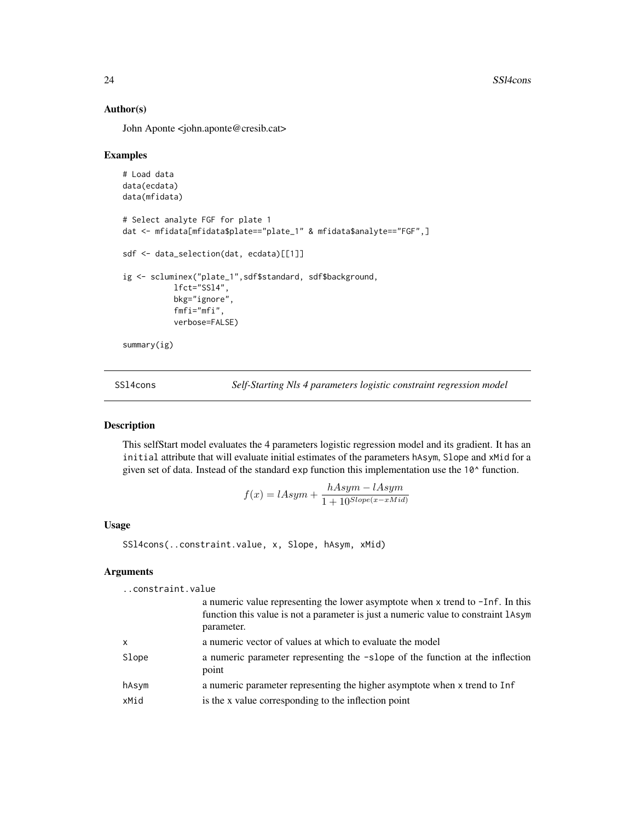#### Author(s)

John Aponte <john.aponte@cresib.cat>

#### Examples

```
# Load data
data(ecdata)
data(mfidata)
# Select analyte FGF for plate 1
dat <- mfidata[mfidata$plate=="plate_1" & mfidata$analyte=="FGF",]
sdf <- data_selection(dat, ecdata)[[1]]
ig <- scluminex("plate_1",sdf$standard, sdf$background,
           lfct="SSl4",
           bkg="ignore",
           fmfi="mfi",
           verbose=FALSE)
summary(ig)
```
SSl4cons *Self-Starting Nls 4 parameters logistic constraint regression model*

# Description

This selfStart model evaluates the 4 parameters logistic regression model and its gradient. It has an initial attribute that will evaluate initial estimates of the parameters hAsym, Slope and xMid for a given set of data. Instead of the standard exp function this implementation use the 10^ function.

$$
f(x) = lAsym + \frac{hAsym - lAsym}{1 + 10^{Slope(x - xMid)}}
$$

#### Usage

```
SSl4cons(..constraint.value, x, Slope, hAsym, xMid)
```
#### Arguments

..constraint.value

|              | a numeric value representing the lower asymptote when x trend to -Inf. In this<br>function this value is not a parameter is just a numeric value to constraint lAsym<br>parameter. |
|--------------|------------------------------------------------------------------------------------------------------------------------------------------------------------------------------------|
| $\mathsf{x}$ | a numeric vector of values at which to evaluate the model                                                                                                                          |
| Slope        | a numeric parameter representing the -slope of the function at the inflection<br>point                                                                                             |
| hAsym        | a numeric parameter representing the higher asymptote when x trend to Inf                                                                                                          |
| xMid         | is the x value corresponding to the inflection point                                                                                                                               |

<span id="page-23-0"></span>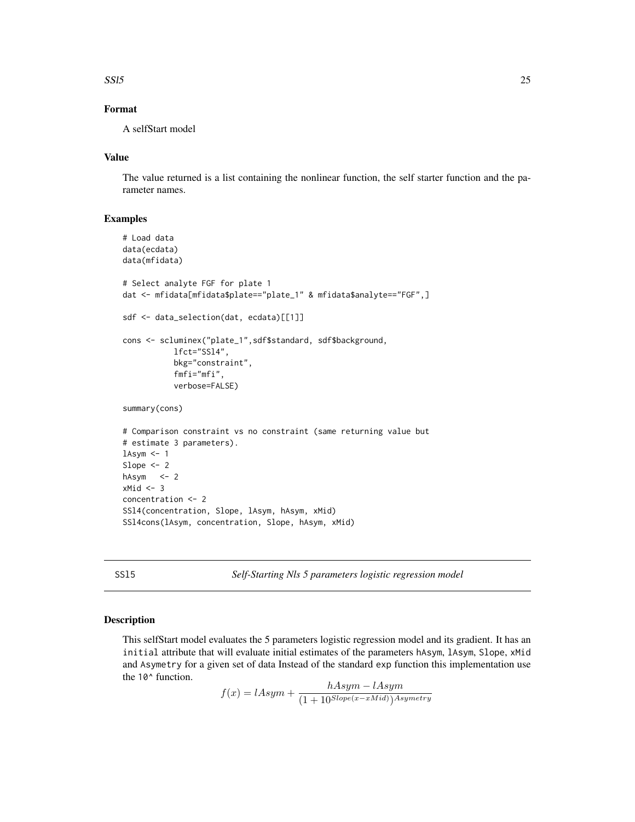#### <span id="page-24-0"></span> $SS15$  25

# Format

A selfStart model

# Value

The value returned is a list containing the nonlinear function, the self starter function and the parameter names.

#### Examples

```
# Load data
data(ecdata)
data(mfidata)
# Select analyte FGF for plate 1
dat <- mfidata[mfidata$plate=="plate_1" & mfidata$analyte=="FGF",]
sdf <- data_selection(dat, ecdata)[[1]]
cons <- scluminex("plate_1",sdf$standard, sdf$background,
           lfct="SSl4",
           bkg="constraint",
           fmfi="mfi",
           verbose=FALSE)
summary(cons)
# Comparison constraint vs no constraint (same returning value but
# estimate 3 parameters).
lAsym < -1Slope <-2hAsym <-2xMid \le -3concentration <- 2
SSl4(concentration, Slope, lAsym, hAsym, xMid)
SSl4cons(lAsym, concentration, Slope, hAsym, xMid)
```
SSl5 *Self-Starting Nls 5 parameters logistic regression model*

#### Description

This selfStart model evaluates the 5 parameters logistic regression model and its gradient. It has an initial attribute that will evaluate initial estimates of the parameters hAsym, lAsym, Slope, xMid and Asymetry for a given set of data Instead of the standard exp function this implementation use the 10<sup>^</sup> function.

> $f(x) = lAsym + \frac{hAsym - lAsym}{(1 + 10)Slen(2 - Mid)) \Delta x}$  $(1+10^{Slope(x-xMid)})$ Asymetry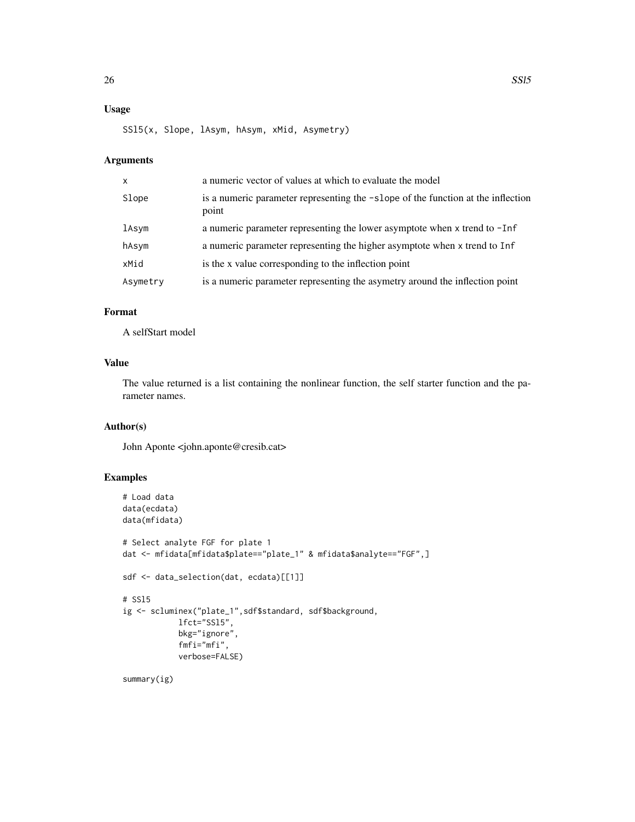# Usage

SSl5(x, Slope, lAsym, hAsym, xMid, Asymetry)

# Arguments

| $\mathsf{x}$ | a numeric vector of values at which to evaluate the model                                 |
|--------------|-------------------------------------------------------------------------------------------|
| Slope        | is a numeric parameter representing the -slope of the function at the inflection<br>point |
| lAsym        | a numeric parameter representing the lower asymptote when $x$ trend to $-I$ nf            |
| hAsym        | a numeric parameter representing the higher asymptote when x trend to Inf                 |
| xMid         | is the x value corresponding to the inflection point                                      |
| Asymetry     | is a numeric parameter representing the asymetry around the inflection point              |

# Format

A selfStart model

# Value

The value returned is a list containing the nonlinear function, the self starter function and the parameter names.

# Author(s)

John Aponte <john.aponte@cresib.cat>

# Examples

```
# Load data
data(ecdata)
data(mfidata)
# Select analyte FGF for plate 1
dat <- mfidata[mfidata$plate=="plate_1" & mfidata$analyte=="FGF",]
sdf <- data_selection(dat, ecdata)[[1]]
# SSl5
ig <- scluminex("plate_1",sdf$standard, sdf$background,
            lfct="SSl5",
            bkg="ignore",
            fmfi="mfi",
            verbose=FALSE)
```
summary(ig)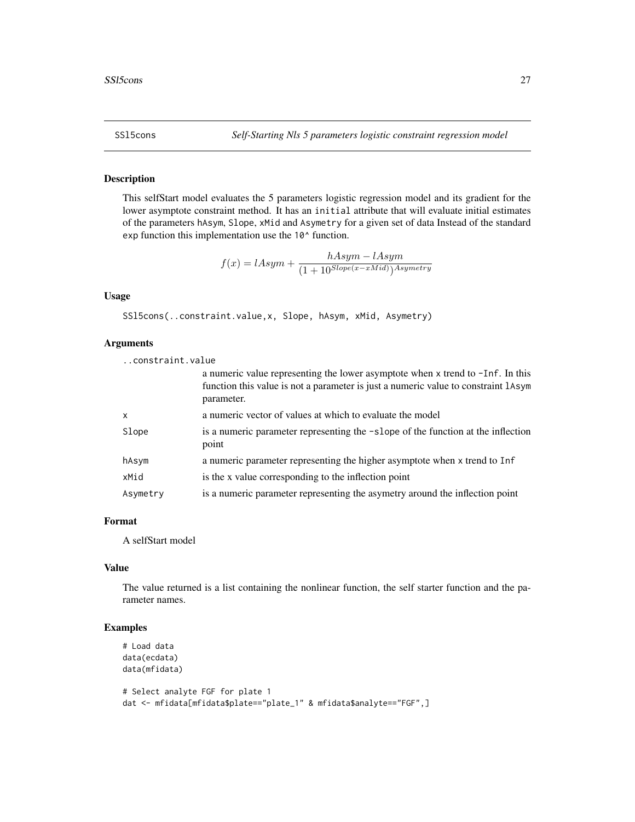<span id="page-26-0"></span>

#### Description

This selfStart model evaluates the 5 parameters logistic regression model and its gradient for the lower asymptote constraint method. It has an initial attribute that will evaluate initial estimates of the parameters hAsym, Slope, xMid and Asymetry for a given set of data Instead of the standard exp function this implementation use the 10<sup> $\circ$ </sup> function.

$$
f(x) = lAsym + \frac{hAsym - lAsym}{(1 + 10^{Slope(x - xMid)}) Asymetry}
$$

# Usage

SSl5cons(..constraint.value,x, Slope, hAsym, xMid, Asymetry)

# Arguments

| constraint.value |                                                                                                                                                                                          |  |
|------------------|------------------------------------------------------------------------------------------------------------------------------------------------------------------------------------------|--|
|                  | a numeric value representing the lower asymptote when $x$ trend to $-I$ nf. In this<br>function this value is not a parameter is just a numeric value to constraint 1 Asym<br>parameter. |  |
| x                | a numeric vector of values at which to evaluate the model                                                                                                                                |  |
| Slope            | is a numeric parameter representing the -slope of the function at the inflection<br>point                                                                                                |  |
| hAsym            | a numeric parameter representing the higher asymptote when x trend to Inf                                                                                                                |  |
| xMid             | is the x value corresponding to the inflection point                                                                                                                                     |  |
| Asymetry         | is a numeric parameter representing the asymetry around the inflection point                                                                                                             |  |

# Format

A selfStart model

# Value

The value returned is a list containing the nonlinear function, the self starter function and the parameter names.

```
# Load data
data(ecdata)
data(mfidata)
```

```
# Select analyte FGF for plate 1
dat <- mfidata[mfidata$plate=="plate_1" & mfidata$analyte=="FGF",]
```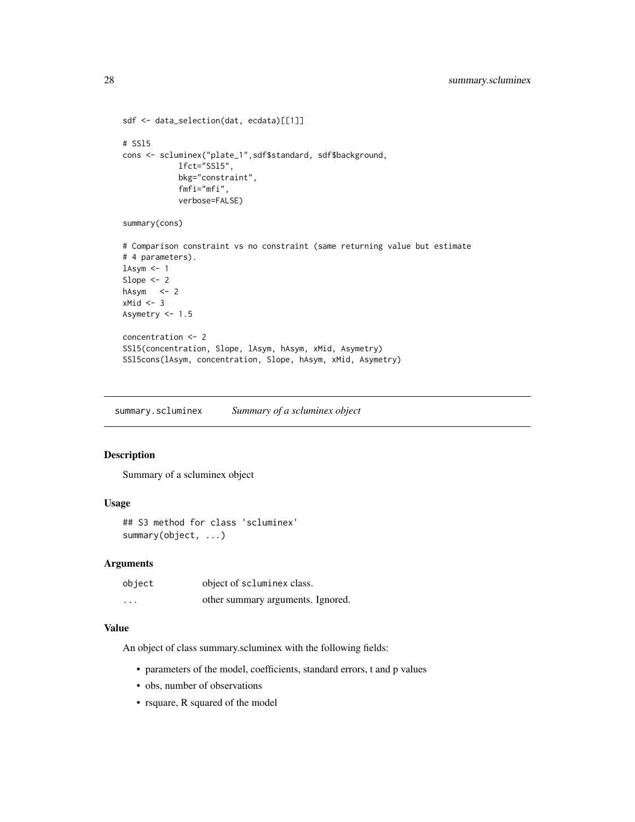```
sdf <- data_selection(dat, ecdata)[[1]]
# SSl5
cons <- scluminex("plate_1",sdf$standard, sdf$background,
            lfct="SSl5",
            bkg="constraint",
            fmfi="mfi",
            verbose=FALSE)
summary(cons)
# Comparison constraint vs no constraint (same returning value but estimate
# 4 parameters).
lAsym < -1Slope <- 2
hAsym <- 2
xMid \leftarrow 3Asymetry <- 1.5
concentration <- 2
SSl5(concentration, Slope, lAsym, hAsym, xMid, Asymetry)
SSl5cons(lAsym, concentration, Slope, hAsym, xMid, Asymetry)
```
summary.scluminex *Summary of a scluminex object*

#### Description

Summary of a scluminex object

# Usage

```
## S3 method for class 'scluminex'
summary(object, ...)
```
# Arguments

| object   | object of scluminex class.        |
|----------|-----------------------------------|
| $\cdots$ | other summary arguments. Ignored. |

# Value

An object of class summary.scluminex with the following fields:

- parameters of the model, coefficients, standard errors, t and p values
- obs, number of observations
- rsquare, R squared of the model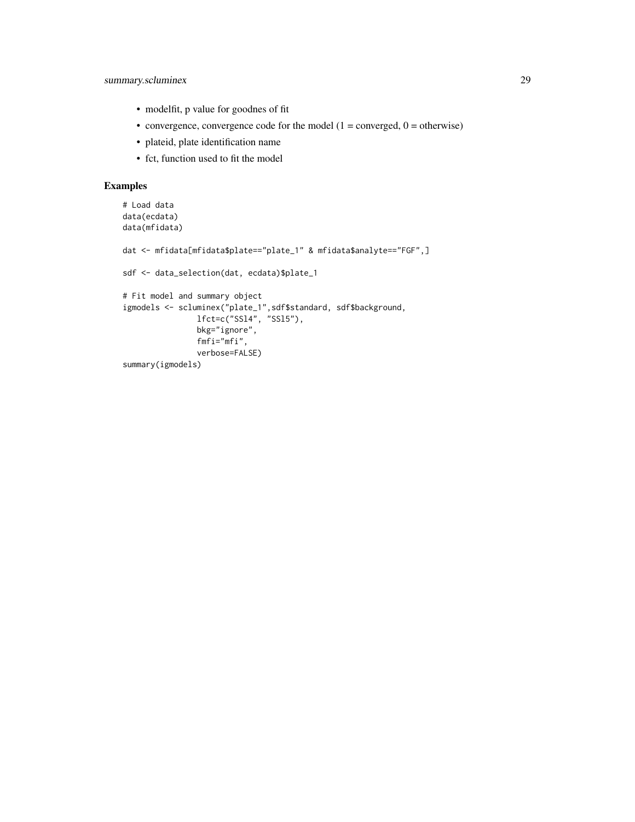- modelfit, p value for goodnes of fit
- convergence, convergence code for the model  $(1 = \text{converged}, 0 = \text{otherwise})$
- plateid, plate identification name
- fct, function used to fit the model

```
# Load data
data(ecdata)
data(mfidata)
dat <- mfidata[mfidata$plate=="plate_1" & mfidata$analyte=="FGF",]
sdf <- data_selection(dat, ecdata)$plate_1
# Fit model and summary object
igmodels <- scluminex("plate_1",sdf$standard, sdf$background,
                lfct=c("SSl4", "SSl5"),
                bkg="ignore",
                fmfi="mfi",
                verbose=FALSE)
summary(igmodels)
```